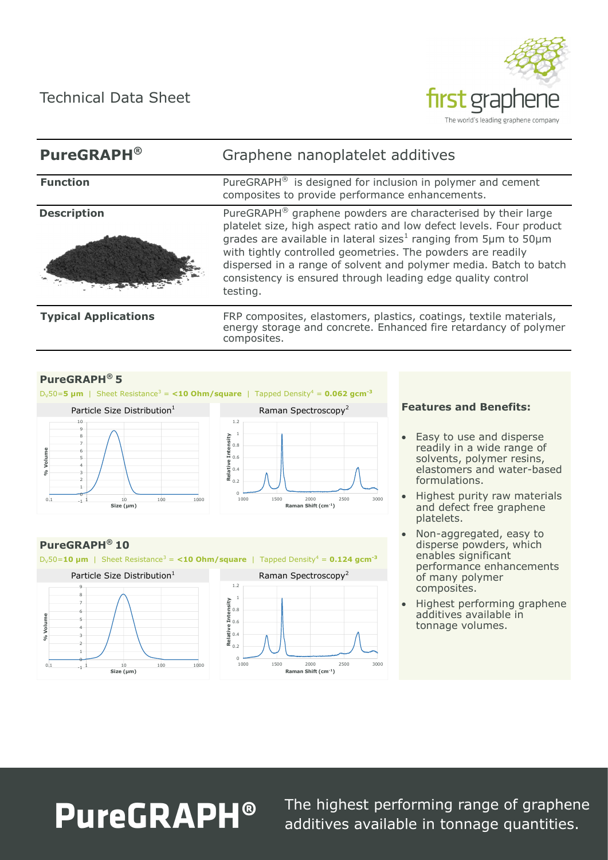Technical Data Sheet



# **PureGRAPH®** Graphene nanoplatelet additives **Function** PureGRAPH<sup>®</sup> is designed for inclusion in polymer and cement composites to provide performance enhancements. **Description** PureGRAPH<sup>®</sup> graphene powders are characterised by their large platelet size, high aspect ratio and low defect levels. Four product grades are available in lateral sizes<sup>1</sup> ranging from 5µm to 50µm with tightly controlled geometries. The powders are readily dispersed in a range of solvent and polymer media. Batch to batch consistency is ensured through leading edge quality control testing. **Typical Applications** FRP composites, elastomers, plastics, coatings, textile materials, energy storage and concrete. Enhanced fire retardancy of polymer composites.

# **PureGRAPH® 5**

 $D_v 50 = 5 \mu m$  | Sheet Resistance<sup>3</sup> = <10 Ohm/square | Tapped Density<sup>4</sup> = 0.062 gcm<sup>-3</sup>

0 0.2 0.4 0.6 0.8 1 **Relative Intensity**

1.2



# **PureGRAPH® 10**

 $D_v 50 = 10$  µm | Sheet Resistance<sup>3</sup> = <10 Ohm/square | Tapped Density<sup>4</sup> = 0.124 gcm<sup>-3</sup>





1000 1500 2000 2500 3000 **Raman Shift (cm-1)**

### **Features and Benefits:**

- Easy to use and disperse readily in a wide range of solvents, polymer resins, elastomers and water-based formulations.
- Highest purity raw materials and defect free graphene platelets.
- Non-aggregated, easy to disperse powders, which enables significant performance enhancements of many polymer composites.
- Highest performing graphene additives available in tonnage volumes.

# **PureGRAPH®**

The highest performing range of graphene additives available in tonnage quantities.